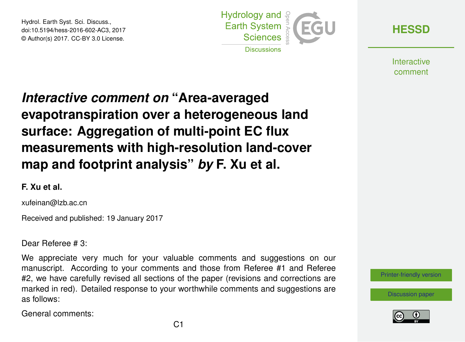Hydrol. Earth Syst. Sci. Discuss., doi:10.5194/hess-2016-602-AC3, 2017 © Author(s) 2017. CC-BY 3.0 License.



**[HESSD](http://www.hydrol-earth-syst-sci-discuss.net/)**

**Interactive** comment

## *Interactive comment on* **"Area-averaged evapotranspiration over a heterogeneous land surface: Aggregation of multi-point EC flux measurements with high-resolution land-cover map and footprint analysis"** *by* **F. Xu et al.**

## **F. Xu et al.**

xufeinan@lzb.ac.cn

Received and published: 19 January 2017

Dear Referee # 3:

We appreciate very much for your valuable comments and suggestions on our manuscript. According to your comments and those from Referee #1 and Referee #2, we have carefully revised all sections of the paper (revisions and corrections are marked in red). Detailed response to your worthwhile comments and suggestions are as follows:

General comments:



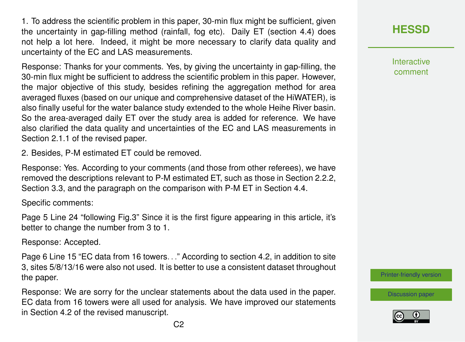1. To address the scientific problem in this paper, 30-min flux might be sufficient, given the uncertainty in gap-filling method (rainfall, fog etc). Daily ET (section 4.4) does not help a lot here. Indeed, it might be more necessary to clarify data quality and uncertainty of the EC and LAS measurements.

Response: Thanks for your comments. Yes, by giving the uncertainty in gap-filling, the 30-min flux might be sufficient to address the scientific problem in this paper. However, the major objective of this study, besides refining the aggregation method for area averaged fluxes (based on our unique and comprehensive dataset of the HiWATER), is also finally useful for the water balance study extended to the whole Heihe River basin. So the area-averaged daily ET over the study area is added for reference. We have also clarified the data quality and uncertainties of the EC and LAS measurements in Section 2.1.1 of the revised paper.

2. Besides, P-M estimated ET could be removed.

Response: Yes. According to your comments (and those from other referees), we have removed the descriptions relevant to P-M estimated ET, such as those in Section 2.2.2, Section 3.3, and the paragraph on the comparison with P-M ET in Section 4.4.

Specific comments:

Page 5 Line 24 "following Fig.3" Since it is the first figure appearing in this article, it's better to change the number from 3 to 1.

Response: Accepted.

Page 6 Line 15 "EC data from 16 towers. . ." According to section 4.2, in addition to site 3, sites 5/8/13/16 were also not used. It is better to use a consistent dataset throughout the paper.

Response: We are sorry for the unclear statements about the data used in the paper. EC data from 16 towers were all used for analysis. We have improved our statements in Section 4.2 of the revised manuscript.

**[HESSD](http://www.hydrol-earth-syst-sci-discuss.net/)**

**Interactive** comment

[Printer-friendly version](http://www.hydrol-earth-syst-sci-discuss.net/hess-2016-602/hess-2016-602-AC3-print.pdf)

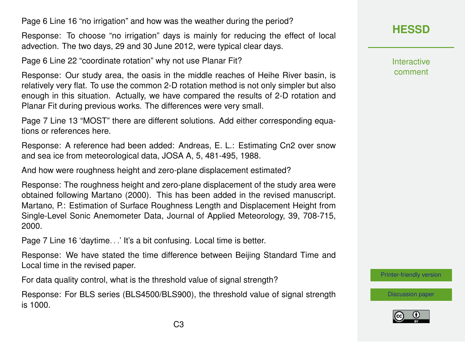Page 6 Line 16 "no irrigation" and how was the weather during the period?

Response: To choose "no irrigation" days is mainly for reducing the effect of local advection. The two days, 29 and 30 June 2012, were typical clear days.

Page 6 Line 22 "coordinate rotation" why not use Planar Fit?

Response: Our study area, the oasis in the middle reaches of Heihe River basin, is relatively very flat. To use the common 2-D rotation method is not only simpler but also enough in this situation. Actually, we have compared the results of 2-D rotation and Planar Fit during previous works. The differences were very small.

Page 7 Line 13 "MOST" there are different solutions. Add either corresponding equations or references here.

Response: A reference had been added: Andreas, E. L.: Estimating Cn2 over snow and sea ice from meteorological data, JOSA A, 5, 481-495, 1988.

And how were roughness height and zero-plane displacement estimated?

Response: The roughness height and zero-plane displacement of the study area were obtained following Martano (2000). This has been added in the revised manuscript. Martano, P.: Estimation of Surface Roughness Length and Displacement Height from Single-Level Sonic Anemometer Data, Journal of Applied Meteorology, 39, 708-715, 2000.

Page 7 Line 16 'daytime...' It's a bit confusing. Local time is better.

Response: We have stated the time difference between Beijing Standard Time and Local time in the revised paper.

For data quality control, what is the threshold value of signal strength?

Response: For BLS series (BLS4500/BLS900), the threshold value of signal strength is 1000.

**[HESSD](http://www.hydrol-earth-syst-sci-discuss.net/)**

**Interactive** comment

[Printer-friendly version](http://www.hydrol-earth-syst-sci-discuss.net/hess-2016-602/hess-2016-602-AC3-print.pdf)

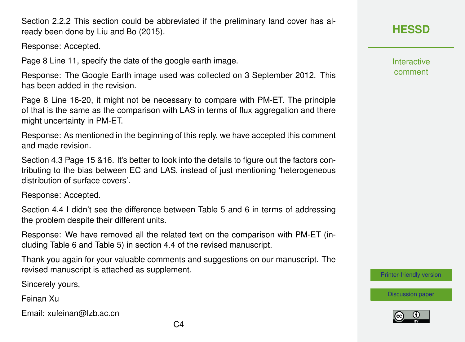$C<sub>4</sub>$ 

Section 2.2.2 This section could be abbreviated if the preliminary land cover has already been done by Liu and Bo (2015).

Response: Accepted.

Page 8 Line 11, specify the date of the google earth image.

Response: The Google Earth image used was collected on 3 September 2012. This has been added in the revision.

Page 8 Line 16-20, it might not be necessary to compare with PM-ET. The principle of that is the same as the comparison with LAS in terms of flux aggregation and there might uncertainty in PM-ET.

Response: As mentioned in the beginning of this reply, we have accepted this comment and made revision.

Section 4.3 Page 15 &16. It's better to look into the details to figure out the factors contributing to the bias between EC and LAS, instead of just mentioning 'heterogeneous distribution of surface covers'.

Response: Accepted.

Section 4.4 I didn't see the difference between Table 5 and 6 in terms of addressing the problem despite their different units.

Response: We have removed all the related text on the comparison with PM-ET (including Table 6 and Table 5) in section 4.4 of the revised manuscript.

Thank you again for your valuable comments and suggestions on our manuscript. The revised manuscript is attached as supplement.

Sincerely yours,

Feinan Xu

Email: xufeinan@lzb.ac.cn

**[HESSD](http://www.hydrol-earth-syst-sci-discuss.net/)**

**Interactive** comment

[Printer-friendly version](http://www.hydrol-earth-syst-sci-discuss.net/hess-2016-602/hess-2016-602-AC3-print.pdf)